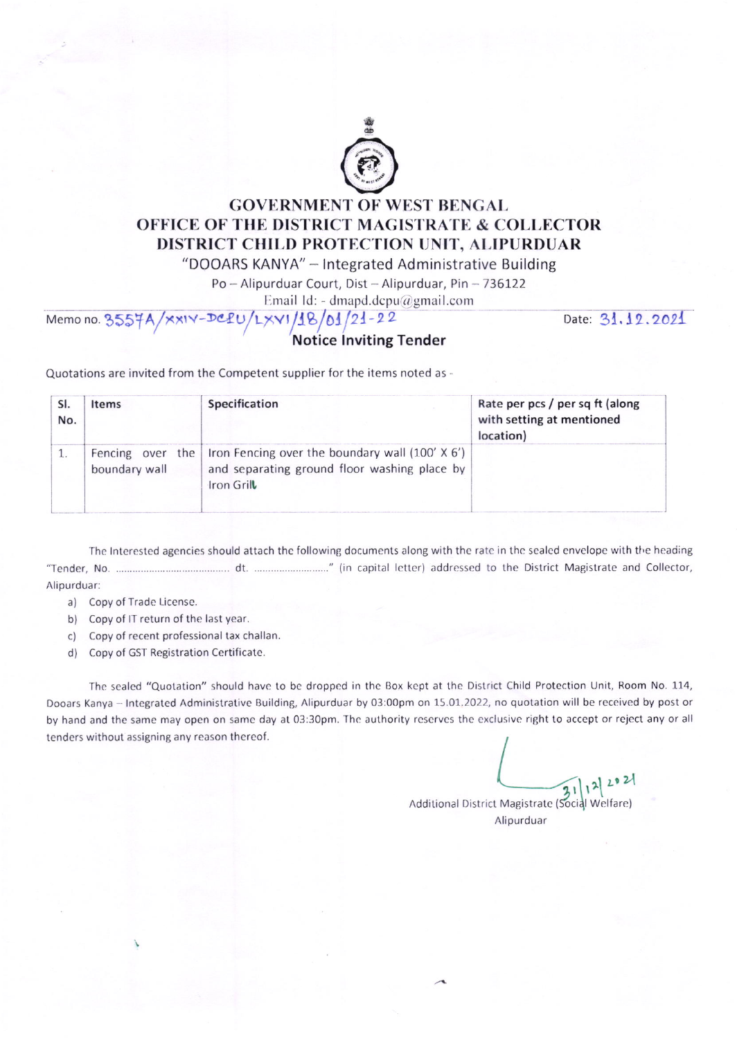

## **GOVERNMENT OF WEST BENGAL OFFICE OF THE DISTRICT MAGISTRATE & COLLECTOR** DISTRICT CHILD PROTECTION UNIT, ALIPURDUAR

"DOOARS KANYA" - Integrated Administrative Building

Po-Alipurduar Court, Dist-Alipurduar, Pin-736122

Email Id: - dmapd.dcpu@gmail.com

## Memo no. 3557A/XXIV-DCPU/LXVI/18/01/21-22

Date: 31.12.2021

Quotations are invited from the Competent supplier for the items noted as -

| No. | Items         | Specification                                                                                                                         | Rate per pcs / per sq ft (along<br>with setting at mentioned<br>location) |
|-----|---------------|---------------------------------------------------------------------------------------------------------------------------------------|---------------------------------------------------------------------------|
|     | boundary wall | Fencing over the Iron Fencing over the boundary wall $(100' \times 6')$<br>and separating ground floor washing place by<br>Iron Grill |                                                                           |

The Interested agencies should attach the following documents along with the rate in the sealed envelope with the heading Alipurduar:

a) Copy of Trade License.

- b) Copy of IT return of the last year.
- c) Copy of recent professional tax challan.
- d) Copy of GST Registration Certificate.

The sealed "Quotation" should have to be dropped in the Box kept at the District Child Protection Unit, Room No. 114, Dooars Kanya - Integrated Administrative Building, Alipurduar by 03:00pm on 15.01.2022, no quotation will be received by post or by hand and the same may open on same day at 03:30pm. The authority reserves the exclusive right to accept or reject any or all tenders without assigning any reason thereof.

 $31|12$ Additional District Magistrate (Social Welfare) Alipurduar